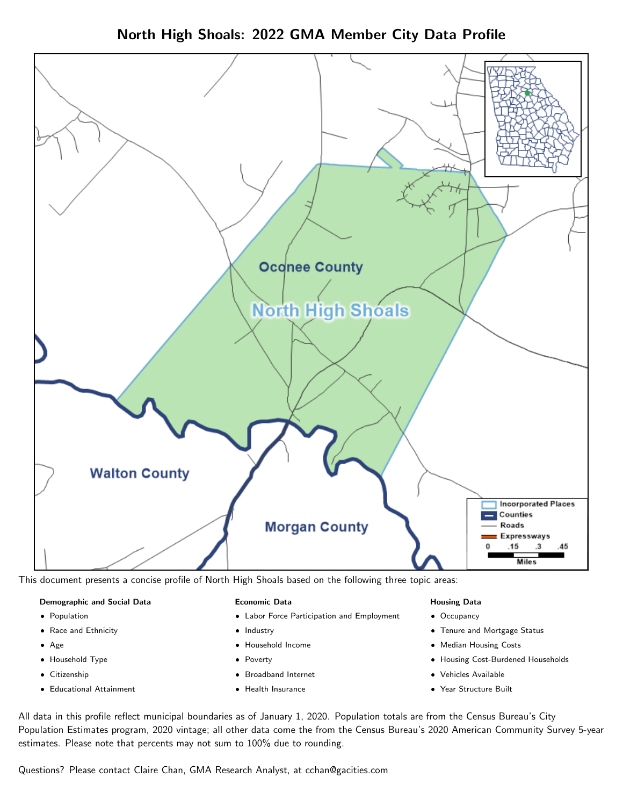



This document presents a concise profile of North High Shoals based on the following three topic areas:

#### Demographic and Social Data

- **•** Population
- Race and Ethnicity
- Age
- Household Type
- **Citizenship**
- Educational Attainment

#### Economic Data

- Labor Force Participation and Employment
- Industry
- Household Income
- Poverty
- Broadband Internet
- Health Insurance

#### Housing Data

- Occupancy
- Tenure and Mortgage Status
- Median Housing Costs
- Housing Cost-Burdened Households
- Vehicles Available
- Year Structure Built

All data in this profile reflect municipal boundaries as of January 1, 2020. Population totals are from the Census Bureau's City Population Estimates program, 2020 vintage; all other data come the from the Census Bureau's 2020 American Community Survey 5-year estimates. Please note that percents may not sum to 100% due to rounding.

Questions? Please contact Claire Chan, GMA Research Analyst, at [cchan@gacities.com.](mailto:cchan@gacities.com)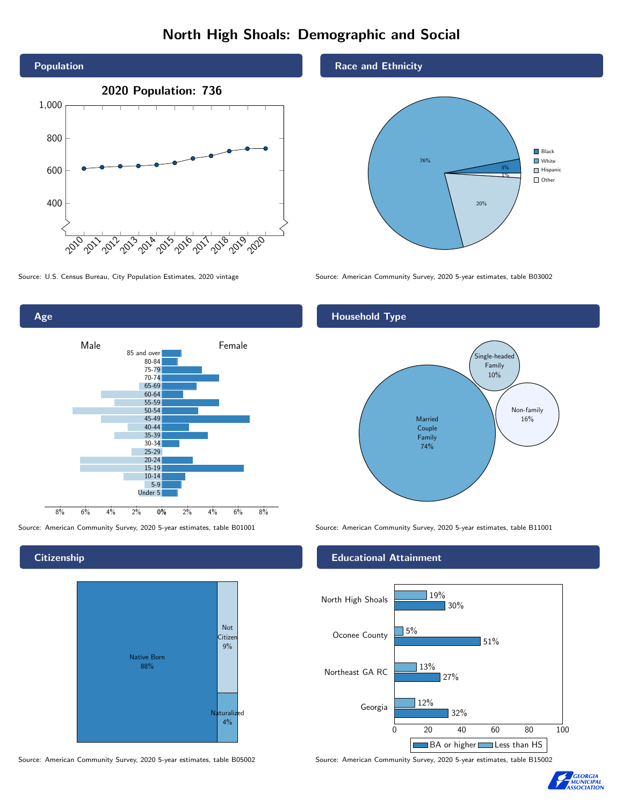# North High Shoals: Demographic and Social



Age 0% 2% 4% 6% 8% Male **Female** 8% 6% 4% 2% 85 and over 80-84 75-79 70-74 65-69 60-64 55-59 50-54 45-49 40-44 35-39 30-34 25-29 20-24 15-19 10-14 5-9 Under 5

**Citizenship** 



Source: American Community Survey, 2020 5-year estimates, table B05002 Source: American Community Survey, 2020 5-year estimates, table B15002

Race and Ethnicity



Source: U.S. Census Bureau, City Population Estimates, 2020 vintage Source: American Community Survey, 2020 5-year estimates, table B03002

### Household Type



Source: American Community Survey, 2020 5-year estimates, table B01001 Source: American Community Survey, 2020 5-year estimates, table B11001

### Educational Attainment



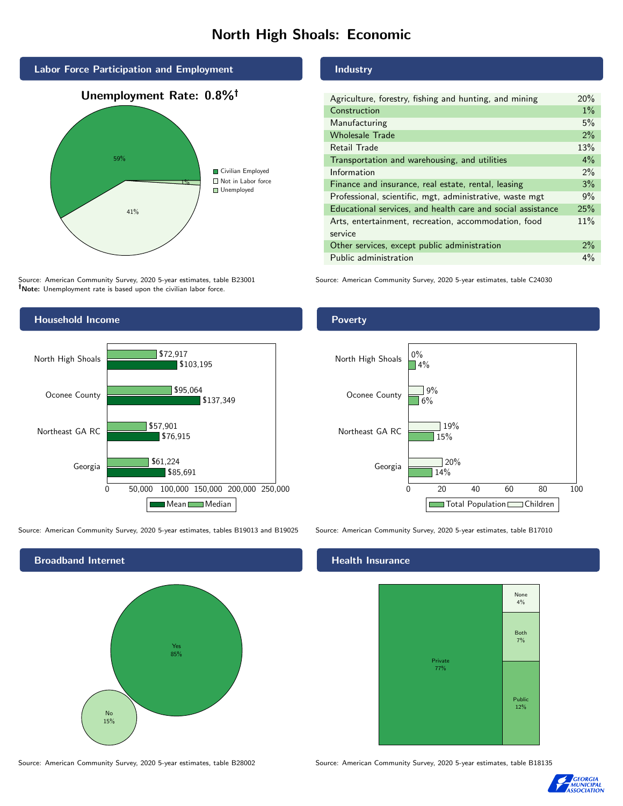# North High Shoals: Economic



Source: American Community Survey, 2020 5-year estimates, table B23001 Note: Unemployment rate is based upon the civilian labor force.

## Household Income 0 50,000 100,000 150,000 200,000 250,000 Georgia Northeast GA RC Oconee County North High Shoals \$85,691 \$76,915 \$137,349 \$103,195 \$61,224 \$57,901 \$95,064 \$72,917

Source: American Community Survey, 2020 5-year estimates, tables B19013 and B19025 Source: American Community Survey, 2020 5-year estimates, table B17010

Mean Median



#### Industry

| Agriculture, forestry, fishing and hunting, and mining      | 20%   |
|-------------------------------------------------------------|-------|
| Construction                                                | $1\%$ |
| Manufacturing                                               | 5%    |
| <b>Wholesale Trade</b>                                      | 2%    |
| Retail Trade                                                | 13%   |
| Transportation and warehousing, and utilities               | $4\%$ |
| Information                                                 | $2\%$ |
| Finance and insurance, real estate, rental, leasing         | 3%    |
| Professional, scientific, mgt, administrative, waste mgt    | 9%    |
| Educational services, and health care and social assistance | 25%   |
| Arts, entertainment, recreation, accommodation, food        | 11%   |
| service                                                     |       |
| Other services, except public administration                | $2\%$ |
| Public administration                                       | $4\%$ |

Source: American Community Survey, 2020 5-year estimates, table C24030

#### **Poverty**



#### Health Insurance



Source: American Community Survey, 2020 5-year estimates, table B28002 Source: American Community Survey, 2020 5-year estimates, table B18135